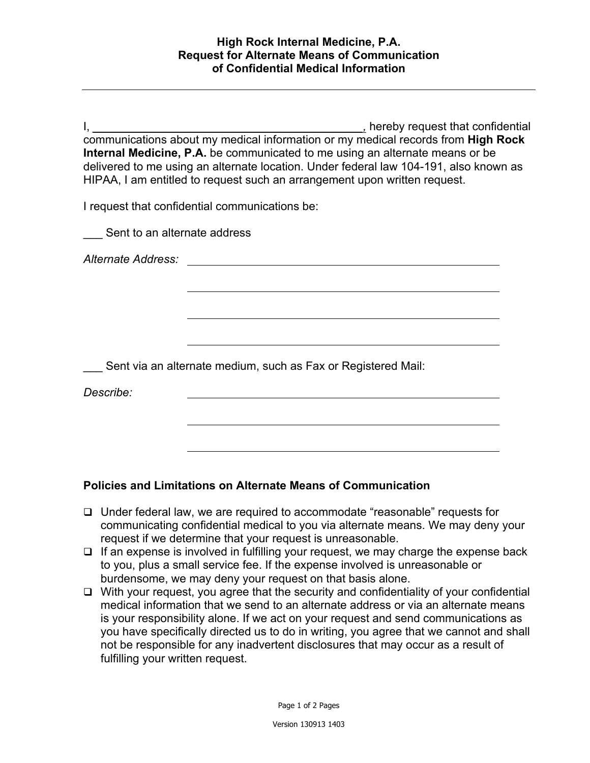I, *\_\_\_\_\_\_\_\_\_\_\_\_\_\_\_\_\_\_\_\_\_\_\_\_\_\_\_\_\_\_\_\_\_\_\_\_\_\_\_\_\_\_,* hereby request that confidential communications about my medical information or my medical records from **High Rock Internal Medicine, P.A.** be communicated to me using an alternate means or be delivered to me using an alternate location. Under federal law 104-191, also known as HIPAA, I am entitled to request such an arrangement upon written request.

I request that confidential communications be:

Sent to an alternate address

*Alternate Address:*

Sent via an alternate medium, such as Fax or Registered Mail:

*Describe:*

## **Policies and Limitations on Alternate Means of Communication**

- Under federal law, we are required to accommodate "reasonable" requests for communicating confidential medical to you via alternate means. We may deny your request if we determine that your request is unreasonable.
- $\Box$  If an expense is involved in fulfilling your request, we may charge the expense back to you, plus a small service fee. If the expense involved is unreasonable or burdensome, we may deny your request on that basis alone.
- $\Box$  With your request, you agree that the security and confidentiality of your confidential medical information that we send to an alternate address or via an alternate means is your responsibility alone. If we act on your request and send communications as you have specifically directed us to do in writing, you agree that we cannot and shall not be responsible for any inadvertent disclosures that may occur as a result of fulfilling your written request.

Page 1 of 2 Pages